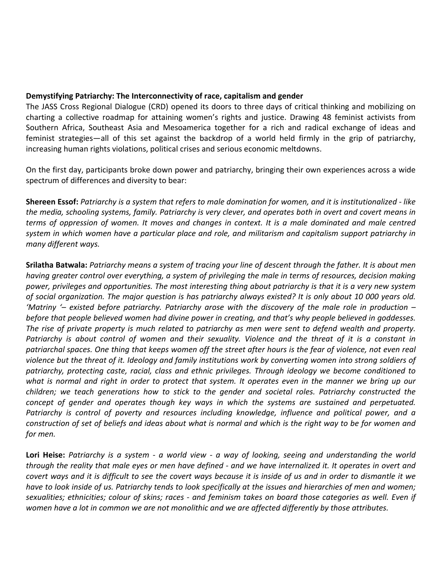## **Demystifying Patriarchy: The Interconnectivity of race, capitalism and gender**

The JASS Cross Regional Dialogue (CRD) opened its doors to three days of critical thinking and mobilizing on charting a collective roadmap for attaining women's rights and justice. Drawing 48 feminist activists from Southern Africa, Southeast Asia and Mesoamerica together for a rich and radical exchange of ideas and feminist strategies—all of this set against the backdrop of a world held firmly in the grip of patriarchy, increasing human rights violations, political crises and serious economic meltdowns.

On the first day, participants broke down power and patriarchy, bringing their own experiences across a wide spectrum of differences and diversity to bear:

**Shereen Essof:** *Patriarchy is a system that refers to male domination for women, and it is institutionalized - like the media, schooling systems, family. Patriarchy is very clever, and operates both in overt and covert means in terms of oppression of women. It moves and changes in context. It is a male dominated and male centred system in which women have a particular place and role, and militarism and capitalism support patriarchy in many different ways.*

**Srilatha Batwala:** *Patriarchy means a system of tracing your line of descent through the father. It is about men having greater control over everything, a system of privileging the male in terms of resources, decision making power, privileges and opportunities. The most interesting thing about patriarchy is that it is a very new system of social organization. The major question is has patriarchy always existed? It is only about 10 000 years old. 'Matriny '– existed before patriarchy. Patriarchy arose with the discovery of the male role in production – before that people believed women had divine power in creating, and that's why people believed in goddesses. The rise of private property is much related to patriarchy as men were sent to defend wealth and property. Patriarchy is about control of women and their sexuality. Violence and the threat of it is a constant in patriarchal spaces. One thing that keeps women off the street after hours is the fear of violence, not even real violence but the threat of it. Ideology and family institutions work by converting women into strong soldiers of patriarchy, protecting caste, racial, class and ethnic privileges. Through ideology we become conditioned to what is normal and right in order to protect that system. It operates even in the manner we bring up our children; we teach generations how to stick to the gender and societal roles. Patriarchy constructed the concept of gender and operates though key ways in which the systems are sustained and perpetuated. Patriarchy is control of poverty and resources including knowledge, influence and political power, and a construction of set of beliefs and ideas about what is normal and which is the right way to be for women and for men.*

**Lori Heise:** *Patriarchy is a system - a world view - a way of looking, seeing and understanding the world through the reality that male eyes or men have defined - and we have internalized it. It operates in overt and covert ways and it is difficult to see the covert ways because it is inside of us and in order to dismantle it we have to look inside of us. Patriarchy tends to look specifically at the issues and hierarchies of men and women; sexualities; ethnicities; colour of skins; races - and feminism takes on board those categories as well. Even if women have a lot in common we are not monolithic and we are affected differently by those attributes.*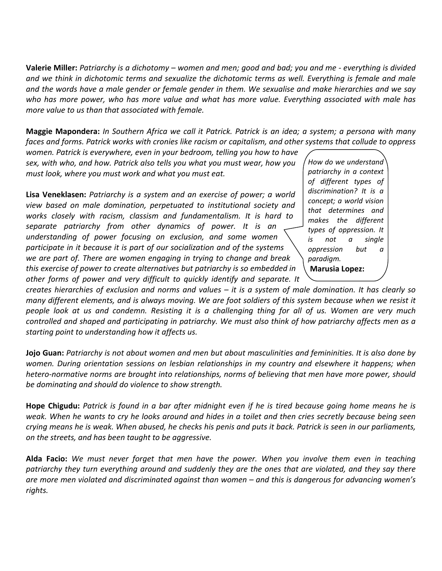**Valerie Miller:** *Patriarchy is a dichotomy – women and men; good and bad; you and me - everything is divided and we think in dichotomic terms and sexualize the dichotomic terms as well. Everything is female and male and the words have a male gender or female gender in them. We sexualise and make hierarchies and we say who has more power, who has more value and what has more value. Everything associated with male has more value to us than that associated with female.*

**Maggie Mapondera:** *In Southern Africa we call it Patrick. Patrick is an idea; a system; a persona with many faces and forms. Patrick works with cronies like racism or capitalism, and other systems that collude to oppress* 

*women. Patrick is everywhere, even in your bedroom, telling you how to have sex, with who, and how. Patrick also tells you what you must wear, how you must look, where you must work and what you must eat.* 

**Lisa Veneklasen:** *Patriarchy is a system and an exercise of power; a world view based on male domination, perpetuated to institutional society and works closely with racism, classism and fundamentalism. It is hard to separate patriarchy from other dynamics of power. It is an understanding of power focusing on exclusion, and some women participate in it because it is part of our socialization and of the systems we are part of. There are women engaging in trying to change and break this exercise of power to create alternatives but patriarchy is so embedded in other forms of power and very difficult to quickly identify and separate. It* 

*How do we understand patriarchy in a context of different types of discrimination? It is a concept; a world vision that determines and makes the different types of oppression. It is not a single oppression but a paradigm.* **Marusia Lopez:**

*creates hierarchies of exclusion and norms and values – it is a system of male domination. It has clearly so many different elements, and is always moving. We are foot soldiers of this system because when we resist it people look at us and condemn. Resisting it is a challenging thing for all of us. Women are very much controlled and shaped and participating in patriarchy. We must also think of how patriarchy affects men as a starting point to understanding how it affects us.*

**Jojo Guan:** *Patriarchy is not about women and men but about masculinities and femininities. It is also done by women. During orientation sessions on lesbian relationships in my country and elsewhere it happens; when hetero-normative norms are brought into relationships, norms of believing that men have more power, should be dominating and should do violence to show strength.* 

**Hope Chigudu:** *Patrick is found in a bar after midnight even if he is tired because going home means he is weak. When he wants to cry he looks around and hides in a toilet and then cries secretly because being seen crying means he is weak. When abused, he checks his penis and puts it back. Patrick is seen in our parliaments, on the streets, and has been taught to be aggressive.*

**Alda Facio:** *We must never forget that men have the power. When you involve them even in teaching patriarchy they turn everything around and suddenly they are the ones that are violated, and they say there are more men violated and discriminated against than women – and this is dangerous for advancing women's rights.*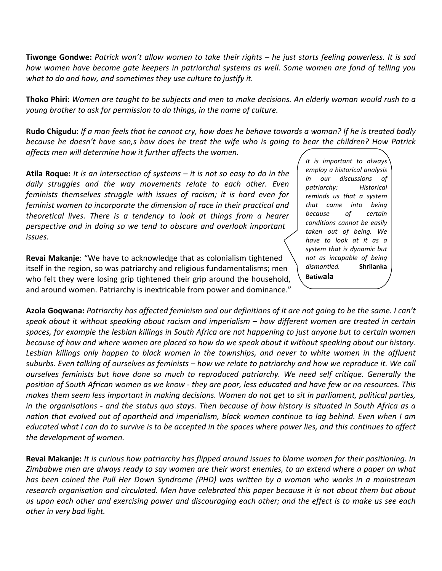**Tiwonge Gondwe:** *Patrick won't allow women to take their rights – he just starts feeling powerless. It is sad how women have become gate keepers in patriarchal systems as well. Some women are fond of telling you what to do and how, and sometimes they use culture to justify it.* 

**Thoko Phiri:** *Women are taught to be subjects and men to make decisions. An elderly woman would rush to a young brother to ask for permission to do things, in the name of culture.*

**Rudo Chigudu:** *If a man feels that he cannot cry, how does he behave towards a woman? If he is treated badly because he doesn't have son,s how does he treat the wife who is going to bear the children? How Patrick affects men will determine how it further affects the women.* 

**Atila Roque:** *It is an intersection of systems – it is not so easy to do in the daily struggles and the way movements relate to each other. Even feminists themselves struggle with issues of racism; it is hard even for feminist women to incorporate the dimension of race in their practical and theoretical lives. There is a tendency to look at things from a hearer perspective and in doing so we tend to obscure and overlook important issues.* 

**Revai Makanje**: "We have to acknowledge that as colonialism tightened itself in the region, so was patriarchy and religious fundamentalisms; men who felt they were losing grip tightened their grip around the household, and around women. Patriarchy is inextricable from power and dominance." *It is important to always employ a historical analysis in our discussions of patriarchy: Historical reminds us that a system that came into being because of certain conditions cannot be easily taken out of being. We have to look at it as a system that is dynamic but not as incapable of being dismantled.* **Shrilanka Batiwala** 

**Azola Goqwana:** *Patriarchy has affected feminism and our definitions of it are not going to be the same. I can't speak about it without speaking about racism and imperialism – how different women are treated in certain spaces, for example the lesbian killings in South Africa are not happening to just anyone but to certain women because of how and where women are placed so how do we speak about it without speaking about our history. Lesbian killings only happen to black women in the townships, and never to white women in the affluent suburbs. Even talking of ourselves as feminists – how we relate to patriarchy and how we reproduce it. We call ourselves feminists but have done so much to reproduced patriarchy. We need self critique. Generally the position of South African women as we know - they are poor, less educated and have few or no resources. This makes them seem less important in making decisions. Women do not get to sit in parliament, political parties, in the organisations - and the status quo stays. Then because of how history is situated in South Africa as a nation that evolved out of apartheid and imperialism, black women continue to lag behind. Even when I am educated what I can do to survive is to be accepted in the spaces where power lies, and this continues to affect the development of women.*

**Revai Makanje:** *It is curious how patriarchy has flipped around issues to blame women for their positioning. In Zimbabwe men are always ready to say women are their worst enemies, to an extend where a paper on what has been coined the Pull Her Down Syndrome (PHD) was written by a woman who works in a mainstream research organisation and circulated. Men have celebrated this paper because it is not about them but about us upon each other and exercising power and discouraging each other; and the effect is to make us see each other in very bad light.*